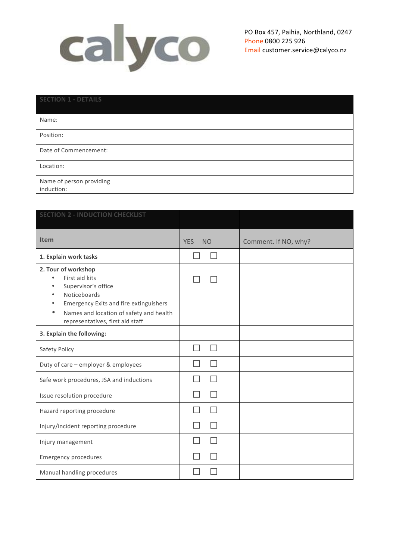

| <b>SECTION 1 - DETAILS</b>             |  |
|----------------------------------------|--|
| Name:                                  |  |
| Position:                              |  |
| Date of Commencement:                  |  |
| Location:                              |  |
| Name of person providing<br>induction: |  |

| <b>SECTION 2 - INDUCTION CHECKLIST</b>                                                                                                                                                                                                              |                         |                      |
|-----------------------------------------------------------------------------------------------------------------------------------------------------------------------------------------------------------------------------------------------------|-------------------------|----------------------|
| <b>Item</b>                                                                                                                                                                                                                                         | <b>YES</b><br><b>NO</b> | Comment. If NO, why? |
| 1. Explain work tasks                                                                                                                                                                                                                               |                         |                      |
| 2. Tour of workshop<br>First aid kits<br>$\bullet$<br>Supervisor's office<br>Noticeboards<br>$\bullet$<br><b>Emergency Exits and fire extinguishers</b><br>$\bullet$<br>Names and location of safety and health<br>representatives, first aid staff |                         |                      |
| 3. Explain the following:                                                                                                                                                                                                                           |                         |                      |
| Safety Policy                                                                                                                                                                                                                                       |                         |                      |
| Duty of care - employer & employees                                                                                                                                                                                                                 |                         |                      |
| Safe work procedures, JSA and inductions                                                                                                                                                                                                            |                         |                      |
| Issue resolution procedure                                                                                                                                                                                                                          |                         |                      |
| Hazard reporting procedure                                                                                                                                                                                                                          |                         |                      |
| Injury/incident reporting procedure                                                                                                                                                                                                                 |                         |                      |
| Injury management                                                                                                                                                                                                                                   |                         |                      |
| <b>Emergency procedures</b>                                                                                                                                                                                                                         |                         |                      |
| Manual handling procedures                                                                                                                                                                                                                          |                         |                      |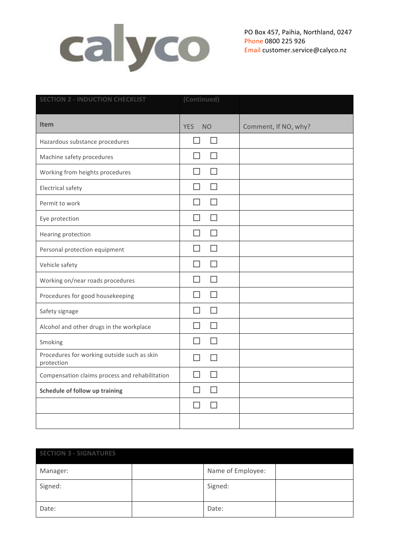

PO Box 457, Paihia, Northland, 0247 Phone 0800 225 926 Email customer.service@calyco.nz

| <b>SECTION 2 - INDUCTION CHECKLIST</b>                    | (Continued)                   |                      |
|-----------------------------------------------------------|-------------------------------|----------------------|
| <b>Item</b>                                               | <b>YES</b><br><b>NO</b>       | Comment, If NO, why? |
| Hazardous substance procedures                            | $\Box$<br>H                   |                      |
| Machine safety procedures                                 |                               |                      |
| Working from heights procedures                           | H                             |                      |
| <b>Electrical safety</b>                                  |                               |                      |
| Permit to work                                            | $\Box$<br>ш                   |                      |
| Eye protection                                            | П<br>П                        |                      |
| Hearing protection                                        | П<br>$\overline{\phantom{a}}$ |                      |
| Personal protection equipment                             | Ιl                            |                      |
| Vehicle safety                                            | $\Box$<br>$\Box$              |                      |
| Working on/near roads procedures                          | П<br>П                        |                      |
| Procedures for good housekeeping                          |                               |                      |
| Safety signage                                            |                               |                      |
| Alcohol and other drugs in the workplace                  |                               |                      |
| Smoking                                                   |                               |                      |
| Procedures for working outside such as skin<br>protection | $\Box$                        |                      |
| Compensation claims process and rehabilitation            |                               |                      |
| Schedule of follow up training                            | П                             |                      |
|                                                           |                               |                      |
|                                                           |                               |                      |

| <b>SECTION 3 - SIGNATURES</b> |  |                   |  |  |  |
|-------------------------------|--|-------------------|--|--|--|
| Manager:                      |  | Name of Employee: |  |  |  |
| Signed:                       |  | Signed:           |  |  |  |
| Date:                         |  | Date:             |  |  |  |